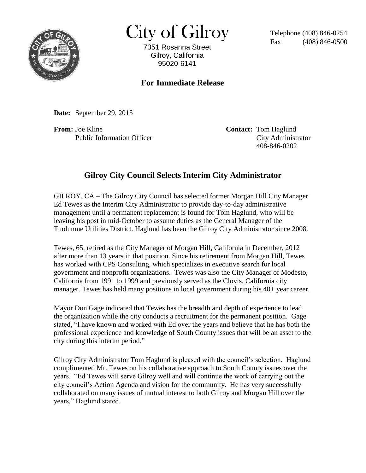

 $City of Gilroy$  Telephone (408) 846-0254

7351 Rosanna Street Gilroy, California 95020-6141

## **For Immediate Release**

**Date:** September 29, 2015

**From:** Joe Kline **Contact: Tom Haglund** 

Public Information Officer City Administrator 408-846-0202

## **Gilroy City Council Selects Interim City Administrator**

GILROY, CA – The Gilroy City Council has selected former Morgan Hill City Manager Ed Tewes as the Interim City Administrator to provide day-to-day administrative management until a permanent replacement is found for Tom Haglund, who will be leaving his post in mid-October to assume duties as the General Manager of the Tuolumne Utilities District. Haglund has been the Gilroy City Administrator since 2008.

Tewes, 65, retired as the City Manager of Morgan Hill, California in December, 2012 after more than 13 years in that position. Since his retirement from Morgan Hill, Tewes has worked with CPS Consulting, which specializes in executive search for local government and nonprofit organizations. Tewes was also the City Manager of Modesto, California from 1991 to 1999 and previously served as the Clovis, California city manager. Tewes has held many positions in local government during his 40+ year career.

Mayor Don Gage indicated that Tewes has the breadth and depth of experience to lead the organization while the city conducts a recruitment for the permanent position. Gage stated, "I have known and worked with Ed over the years and believe that he has both the professional experience and knowledge of South County issues that will be an asset to the city during this interim period."

Gilroy City Administrator Tom Haglund is pleased with the council's selection. Haglund complimented Mr. Tewes on his collaborative approach to South County issues over the years. "Ed Tewes will serve Gilroy well and will continue the work of carrying out the city council's Action Agenda and vision for the community. He has very successfully collaborated on many issues of mutual interest to both Gilroy and Morgan Hill over the years," Haglund stated.